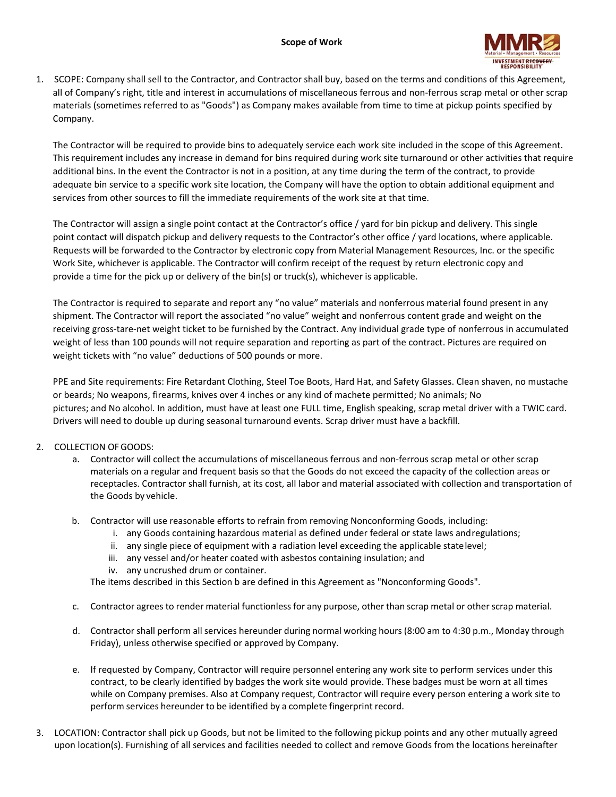

1. SCOPE: Company shall sell to the Contractor, and Contractor shall buy, based on the terms and conditions of this Agreement, all of Company's right, title and interest in accumulations of miscellaneous ferrous and non‐ferrous scrap metal or other scrap materials (sometimes referred to as "Goods") as Company makes available from time to time at pickup points specified by Company.

The Contractor will be required to provide bins to adequately service each work site included in the scope of this Agreement. This requirement includes any increase in demand for bins required during work site turnaround or other activities that require additional bins. In the event the Contractor is not in a position, at any time during the term of the contract, to provide adequate bin service to a specific work site location, the Company will have the option to obtain additional equipment and services from other sources to fill the immediate requirements of the work site at that time.

The Contractor will assign a single point contact at the Contractor's office / yard for bin pickup and delivery. This single point contact will dispatch pickup and delivery requests to the Contractor's other office / yard locations, where applicable. Requests will be forwarded to the Contractor by electronic copy from Material Management Resources, Inc. or the specific Work Site, whichever is applicable. The Contractor will confirm receipt of the request by return electronic copy and provide a time for the pick up or delivery of the bin(s) or truck(s), whichever is applicable.

The Contractor is required to separate and report any "no value" materials and nonferrous material found present in any shipment. The Contractor will report the associated "no value" weight and nonferrous content grade and weight on the receiving gross‐tare‐net weight ticket to be furnished by the Contract. Any individual grade type of nonferrous in accumulated weight of less than 100 pounds will not require separation and reporting as part of the contract. Pictures are required on weight tickets with "no value" deductions of 500 pounds or more.

PPE and Site requirements: Fire Retardant Clothing, Steel Toe Boots, Hard Hat, and Safety Glasses. Clean shaven, no mustache or beards; No weapons, firearms, knives over 4 inches or any kind of machete permitted; No animals; No pictures; and No alcohol. In addition, must have at least one FULL time, English speaking, scrap metal driver with a TWIC card. Drivers will need to double up during seasonal turnaround events. Scrap driver must have a backfill.

## 2. COLLECTION OF GOODS:

- a. Contractor will collect the accumulations of miscellaneous ferrous and non-ferrous scrap metal or other scrap materials on a regular and frequent basis so that the Goods do not exceed the capacity of the collection areas or receptacles. Contractor shall furnish, at its cost, all labor and material associated with collection and transportation of the Goods by vehicle.
- b. Contractor will use reasonable efforts to refrain from removing Nonconforming Goods, including:
	- i. any Goods containing hazardous material as defined under federal or state laws andregulations;
	- ii. any single piece of equipment with a radiation level exceeding the applicable statelevel;
	- iii. any vessel and/or heater coated with asbestos containing insulation; and
	- iv. any uncrushed drum or container.

The items described in this Section b are defined in this Agreement as "Nonconforming Goods".

- c. Contractor agrees to render material functionless for any purpose, other than scrap metal or other scrap material.
- d. Contractor shall perform all services hereunder during normal working hours (8:00 am to 4:30 p.m., Monday through Friday), unless otherwise specified or approved by Company.
- e. If requested by Company, Contractor will require personnel entering any work site to perform services under this contract, to be clearly identified by badges the work site would provide. These badges must be worn at all times while on Company premises. Also at Company request, Contractor will require every person entering a work site to perform services hereunder to be identified by a complete fingerprint record.
- 3. LOCATION: Contractor shall pick up Goods, but not be limited to the following pickup points and any other mutually agreed upon location(s). Furnishing of all services and facilities needed to collect and remove Goods from the locations hereinafter